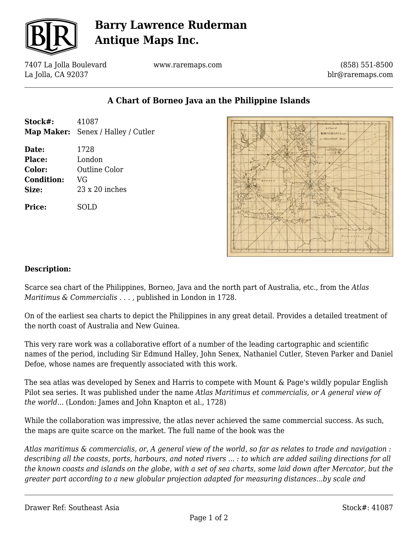

# **Barry Lawrence Ruderman Antique Maps Inc.**

7407 La Jolla Boulevard La Jolla, CA 92037

www.raremaps.com

(858) 551-8500 blr@raremaps.com

### **A Chart of Borneo Java an the Philippine Islands**

| Stock#:                                                 | 41087<br>Map Maker: Senex / Halley / Cutler                    |
|---------------------------------------------------------|----------------------------------------------------------------|
| Date:<br>Place:<br>Color:<br><b>Condition:</b><br>Size: | 1728<br>London<br>Outline Color<br>VG<br>$23 \times 20$ inches |
| Price:                                                  | SOLD                                                           |



#### **Description:**

Scarce sea chart of the Philippines, Borneo, Java and the north part of Australia, etc., from the *Atlas Maritimus & Commercialis . . .* , published in London in 1728.

On of the earliest sea charts to depict the Philippines in any great detail. Provides a detailed treatment of the north coast of Australia and New Guinea.

This very rare work was a collaborative effort of a number of the leading cartographic and scientific names of the period, including Sir Edmund Halley, John Senex, Nathaniel Cutler, Steven Parker and Daniel Defoe, whose names are frequently associated with this work.

The sea atlas was developed by Senex and Harris to compete with Mount & Page's wildly popular English Pilot sea series. It was published under the name *Atlas Maritimus et commercialis, or A general view of the world...* (London: James and John Knapton et al., 1728)

While the collaboration was impressive, the atlas never achieved the same commercial success. As such, the maps are quite scarce on the market. The full name of the book was the

*Atlas maritimus & commercialis, or, A general view of the world, so far as relates to trade and navigation : describing all the coasts, ports, harbours, and noted rivers ... : to which are added sailing directions for all the known coasts and islands on the globe, with a set of sea charts, some laid down after Mercator, but the greater part according to a new globular projection adapted for measuring distances...by scale and*